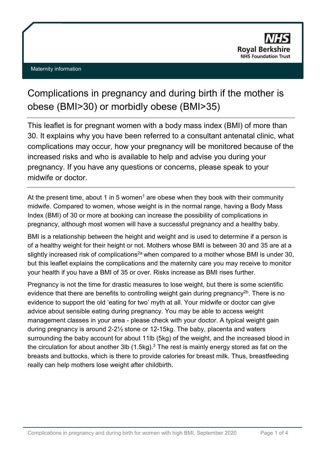# Complications in pregnancy and during birth if the mother is obese (BMI>30) or morbidly obese (BMI>35)

This leaflet is for pregnant women with a body mass index (BMI) of more than 30. It explains why you have been referred to a consultant antenatal clinic, what complications may occur, how your pregnancy will be monitored because of the increased risks and who is available to help and advise you during your pregnancy. If you have any questions or concerns, please speak to your midwife or doctor.

At the present time, about 1 in 5 women<sup>1</sup> are obese when they book with their community midwife. Compared to women, whose weight is in the normal range, having a Body Mass Index (BMI) of 30 or more at booking can increase the possibility of complications in pregnancy, although most women will have a successful pregnancy and a healthy baby.

BMI is a relationship between the height and weight and is used to determine if a person is of a healthy weight for their height or not. Mothers whose BMI is between 30 and 35 are at a slightly increased risk of complications<sup>2a</sup> when compared to a mother whose BMI is under 30, but this leaflet explains the complications and the maternity care you may receive to monitor your health if you have a BMI of 35 or over. Risks increase as BMI rises further.

Pregnancy is not the time for drastic measures to lose weight, but there is some scientific evidence that there are benefits to controlling weight gain during pregnancy<sup>2b</sup>. There is no evidence to support the old 'eating for two' myth at all. Your midwife or doctor can give advice about sensible eating during pregnancy. You may be able to access weight management classes in your area - please check with your doctor. A typical weight gain during pregnancy is around 2-2½ stone or 12-15kg. The baby, placenta and waters surrounding the baby account for about 11lb (5kg) of the weight, and the increased blood in the circulation for about another 3lb  $(1.5\text{kg})$ .<sup>3</sup> The rest is mainly energy stored as fat on the breasts and buttocks, which is there to provide calories for breast milk. Thus, breastfeeding really can help mothers lose weight after childbirth.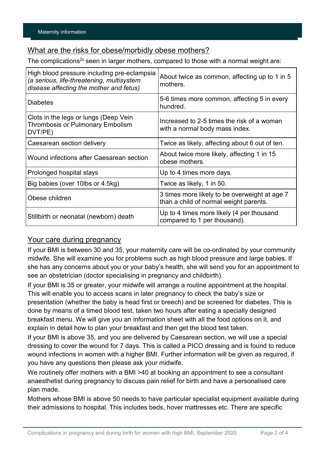### What are the risks for obese/morbidly obese mothers?

The complications<sup>2c</sup> seen in larger mothers, compared to those with a normal weight are:

| High blood pressure including pre-eclampsia<br>(a serious, life-threatening, multisystem<br>disease affecting the mother and fetus) | About twice as common, affecting up to 1 in 5<br>mothers.                               |
|-------------------------------------------------------------------------------------------------------------------------------------|-----------------------------------------------------------------------------------------|
| <b>Diabetes</b>                                                                                                                     | 5-6 times more common, affecting 5 in every<br>hundred.                                 |
| Clots in the legs or lungs (Deep Vein<br><b>Thrombosis or Pulmonary Embolism</b><br>DVT/PE)                                         | Increased to 2-5 times the risk of a woman<br>with a normal body mass index.            |
| Caesarean section delivery                                                                                                          | Twice as likely, affecting about 6 out of ten.                                          |
| Wound infections after Caesarean section                                                                                            | About twice more likely, affecting 1 in 15<br>obese mothers.                            |
| Prolonged hospital stays                                                                                                            | Up to 4 times more days.                                                                |
| Big babies (over 10lbs or 4.5kg)                                                                                                    | Twice as likely, 1 in 50.                                                               |
| Obese children                                                                                                                      | 3 times more likely to be overweight at age 7<br>than a child of normal weight parents. |
| Stillbirth or neonatal (newborn) death                                                                                              | Up to 4 times more likely (4 per thousand<br>compared to 1 per thousand).               |

#### Your care during pregnancy

If your BMI is between 30 and 35, your maternity care will be co-ordinated by your community midwife. She will examine you for problems such as high blood pressure and large babies. If she has any concerns about you or your baby's health, she will send you for an appointment to see an obstetrician (doctor specialising in pregnancy and childbirth).

If your BMI is 35 or greater, your midwife will arrange a routine appointment at the hospital. This will enable you to access scans in later pregnancy to check the baby's size or presentation (whether the baby is head first or breech) and be screened for diabetes. This is done by means of a timed blood test, taken two hours after eating a specially designed breakfast menu. We will give you an information sheet with all the food options on it, and explain in detail how to plan your breakfast and then get the blood test taken.

If your BMI is above 35, and you are delivered by Caesarean section, we will use a special dressing to cover the wound for 7 days. This is called a PICO dressing and is found to reduce wound infections in women with a higher BMI. Further information will be given as required, if you have any questions then please ask your midwife.

We routinely offer mothers with a BMI >40 at booking an appointment to see a consultant anaesthetist during pregnancy to discuss pain relief for birth and have a personalised care plan made.

Mothers whose BMI is above 50 needs to have particular specialist equipment available during their admissions to hospital. This includes beds, hover mattresses etc. There are specific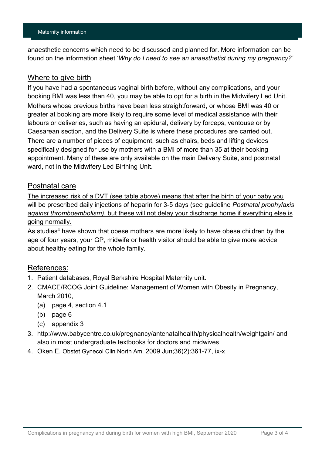anaesthetic concerns which need to be discussed and planned for. More information can be found on the information sheet '*Why do I need to see an anaesthetist during my pregnancy?'*

#### Where to give birth

If you have had a spontaneous vaginal birth before, without any complications, and your booking BMI was less than 40, you may be able to opt for a birth in the Midwifery Led Unit. Mothers whose previous births have been less straightforward, or whose BMI was 40 or greater at booking are more likely to require some level of medical assistance with their labours or deliveries, such as having an epidural, delivery by forceps, ventouse or by Caesarean section, and the Delivery Suite is where these procedures are carried out. There are a number of pieces of equipment, such as chairs, beds and lifting devices specifically designed for use by mothers with a BMI of more than 35 at their booking appointment. Many of these are only available on the main Delivery Suite, and postnatal ward, not in the Midwifery Led Birthing Unit.

#### Postnatal care

The increased risk of a DVT (see table above) means that after the birth of your baby you will be prescribed daily injections of heparin for 3-5 days (see guideline *Postnatal prophylaxis against thromboembolism)*, but these will not delay your discharge home if everything else is going normally.

As studies<sup>4</sup> have shown that obese mothers are more likely to have obese children by the age of four years, your GP, midwife or health visitor should be able to give more advice about healthy eating for the whole family.

#### References:

- 1. Patient databases, Royal Berkshire Hospital Maternity unit.
- 2. CMACE/RCOG Joint Guideline: Management of Women with Obesity in Pregnancy, March 2010,
	- (a) page 4, section 4.1
	- (b) page 6
	- (c) appendix 3
- 3. <http://www.babycentre.co.uk/pregnancy/antenatalhealth/physicalhealth/weightgain/> and also in most undergraduate textbooks for doctors and midwives
- 4. Oken E. [Obstet Gynecol Clin North Am.](http://www.ncbi.nlm.nih.gov/pubmed/19501319##) 2009 Jun;36(2):361-77, ix-x